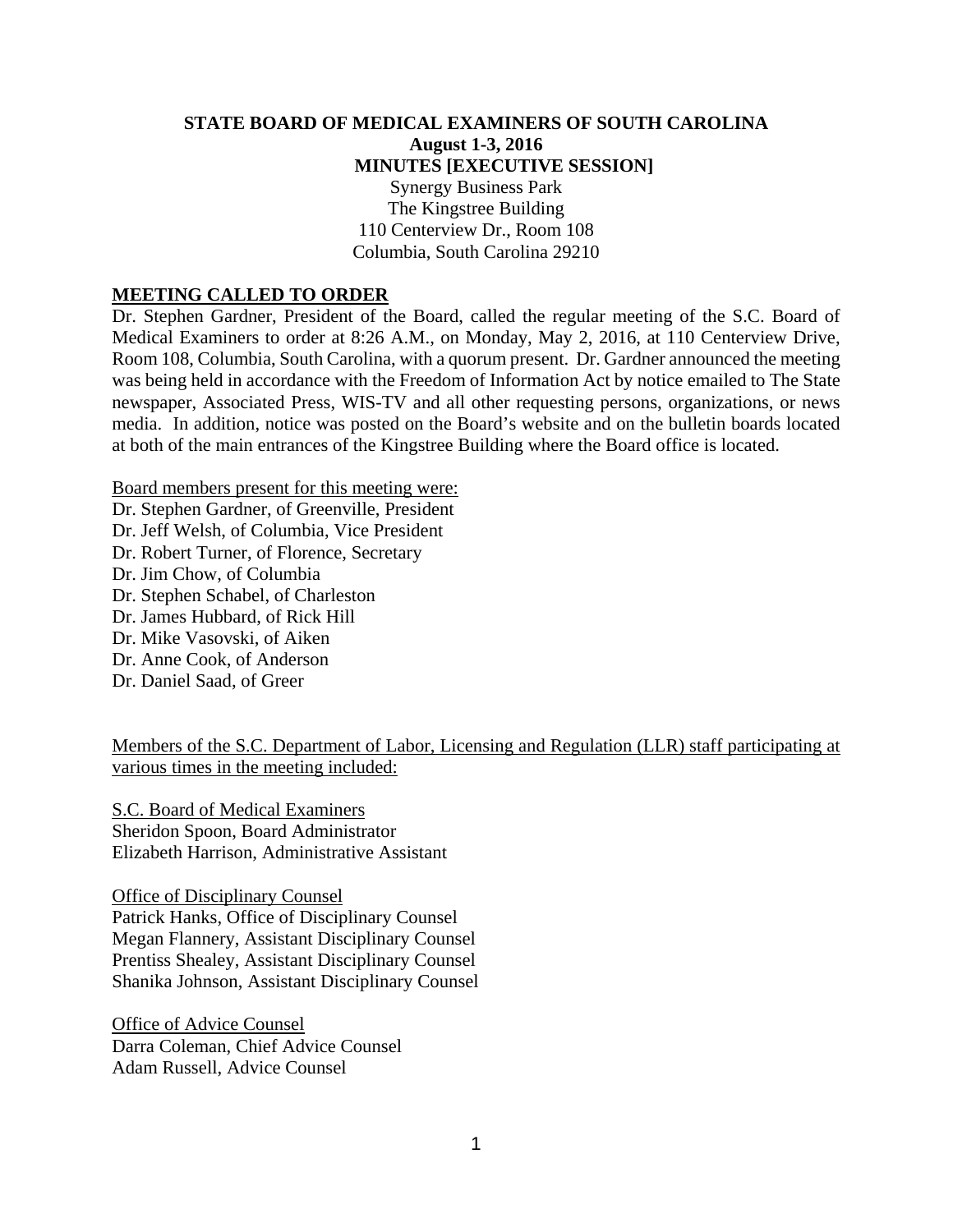#### **STATE BOARD OF MEDICAL EXAMINERS OF SOUTH CAROLINA August 1-3, 2016 MINUTES [EXECUTIVE SESSION]**  Synergy Business Park The Kingstree Building 110 Centerview Dr., Room 108 Columbia, South Carolina 29210

#### **MEETING CALLED TO ORDER**

Dr. Stephen Gardner, President of the Board, called the regular meeting of the S.C. Board of Medical Examiners to order at 8:26 A.M., on Monday, May 2, 2016, at 110 Centerview Drive, Room 108, Columbia, South Carolina, with a quorum present. Dr. Gardner announced the meeting was being held in accordance with the Freedom of Information Act by notice emailed to The State newspaper, Associated Press, WIS-TV and all other requesting persons, organizations, or news media. In addition, notice was posted on the Board's website and on the bulletin boards located at both of the main entrances of the Kingstree Building where the Board office is located.

Board members present for this meeting were: Dr. Stephen Gardner, of Greenville, President Dr. Jeff Welsh, of Columbia, Vice President Dr. Robert Turner, of Florence, Secretary Dr. Jim Chow, of Columbia Dr. Stephen Schabel, of Charleston Dr. James Hubbard, of Rick Hill Dr. Mike Vasovski, of Aiken Dr. Anne Cook, of Anderson Dr. Daniel Saad, of Greer

Members of the S.C. Department of Labor, Licensing and Regulation (LLR) staff participating at various times in the meeting included:

S.C. Board of Medical Examiners Sheridon Spoon, Board Administrator Elizabeth Harrison, Administrative Assistant

Office of Disciplinary Counsel Patrick Hanks, Office of Disciplinary Counsel Megan Flannery, Assistant Disciplinary Counsel Prentiss Shealey, Assistant Disciplinary Counsel Shanika Johnson, Assistant Disciplinary Counsel

Office of Advice Counsel Darra Coleman, Chief Advice Counsel Adam Russell, Advice Counsel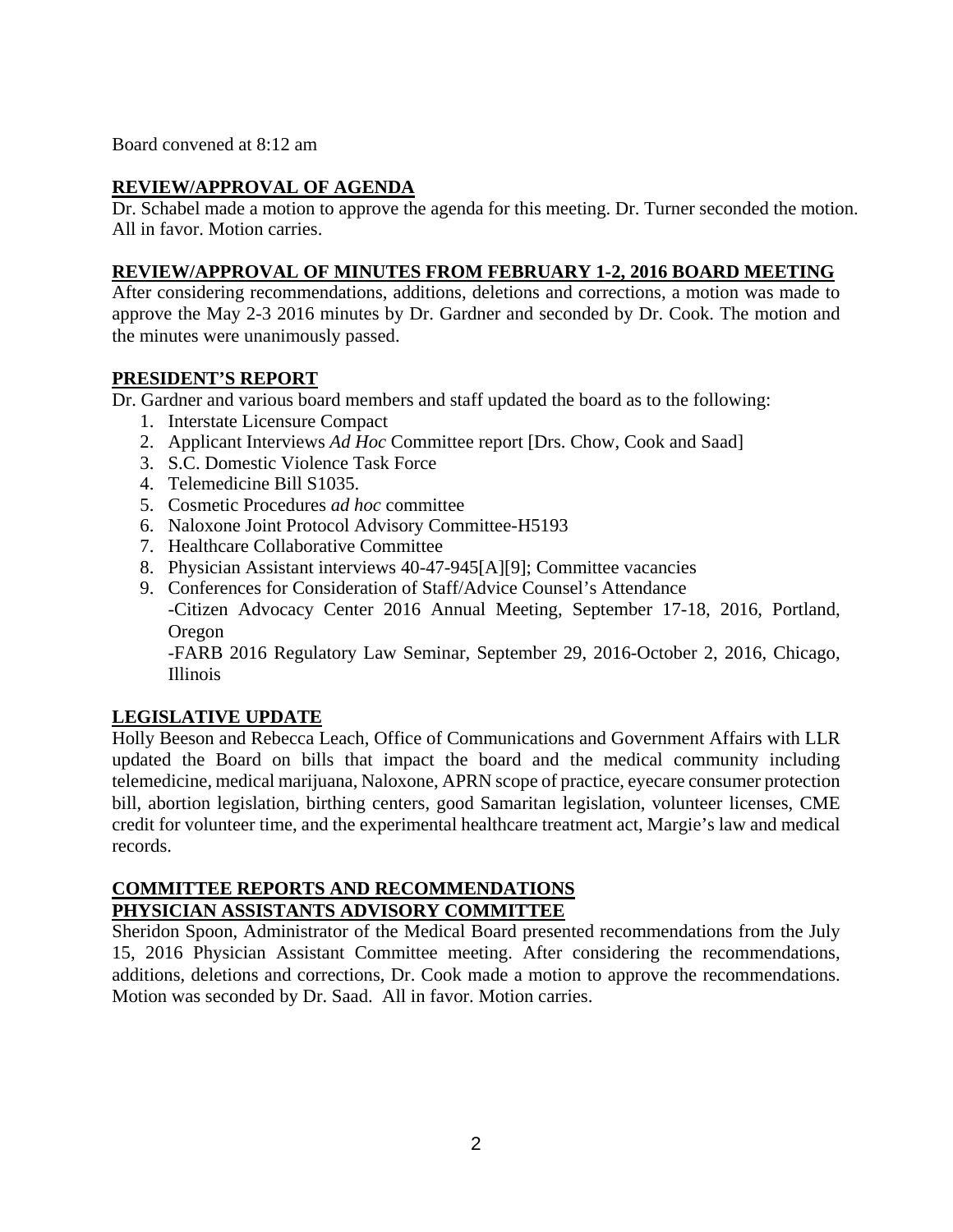Board convened at 8:12 am

#### **REVIEW/APPROVAL OF AGENDA**

Dr. Schabel made a motion to approve the agenda for this meeting. Dr. Turner seconded the motion. All in favor. Motion carries.

#### **REVIEW/APPROVAL OF MINUTES FROM FEBRUARY 1-2, 2016 BOARD MEETING**

After considering recommendations, additions, deletions and corrections, a motion was made to approve the May 2-3 2016 minutes by Dr. Gardner and seconded by Dr. Cook. The motion and the minutes were unanimously passed.

#### **PRESIDENT'S REPORT**

Dr. Gardner and various board members and staff updated the board as to the following:

- 1. Interstate Licensure Compact
- 2. Applicant Interviews *Ad Hoc* Committee report [Drs. Chow, Cook and Saad]
- 3. S.C. Domestic Violence Task Force
- 4. Telemedicine Bill S1035.
- 5. Cosmetic Procedures *ad hoc* committee
- 6. Naloxone Joint Protocol Advisory Committee-H5193
- 7. Healthcare Collaborative Committee
- 8. Physician Assistant interviews 40-47-945[A][9]; Committee vacancies
- 9. Conferences for Consideration of Staff/Advice Counsel's Attendance -Citizen Advocacy Center 2016 Annual Meeting, September 17-18, 2016, Portland,

Oregon -FARB 2016 Regulatory Law Seminar, September 29, 2016-October 2, 2016, Chicago, Illinois

# **LEGISLATIVE UPDATE**

Holly Beeson and Rebecca Leach, Office of Communications and Government Affairs with LLR updated the Board on bills that impact the board and the medical community including telemedicine, medical marijuana, Naloxone, APRN scope of practice, eyecare consumer protection bill, abortion legislation, birthing centers, good Samaritan legislation, volunteer licenses, CME credit for volunteer time, and the experimental healthcare treatment act, Margie's law and medical records.

# **COMMITTEE REPORTS AND RECOMMENDATIONS PHYSICIAN ASSISTANTS ADVISORY COMMITTEE**

Sheridon Spoon, Administrator of the Medical Board presented recommendations from the July 15, 2016 Physician Assistant Committee meeting. After considering the recommendations, additions, deletions and corrections, Dr. Cook made a motion to approve the recommendations. Motion was seconded by Dr. Saad. All in favor. Motion carries.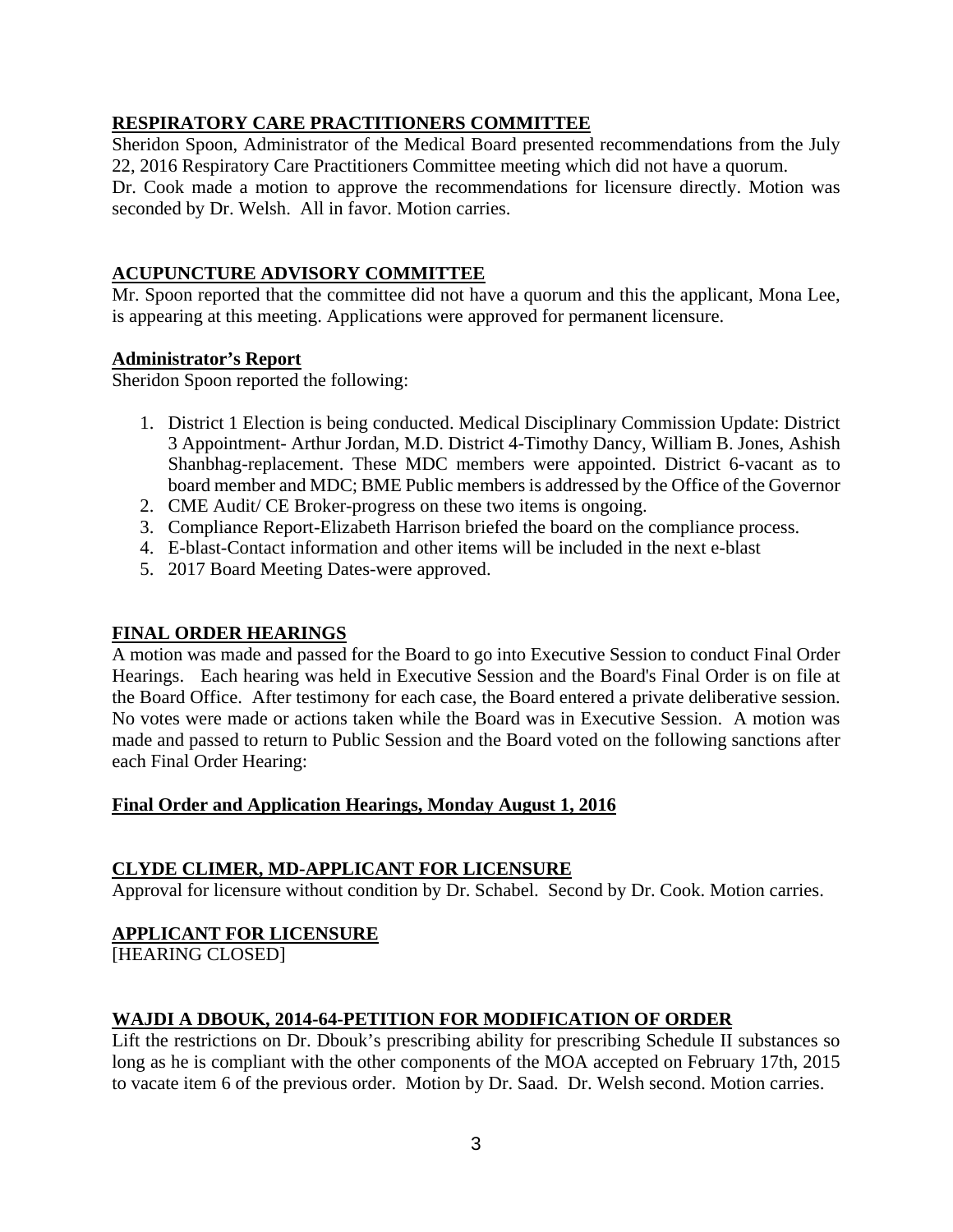# **RESPIRATORY CARE PRACTITIONERS COMMITTEE**

Sheridon Spoon, Administrator of the Medical Board presented recommendations from the July 22, 2016 Respiratory Care Practitioners Committee meeting which did not have a quorum. Dr. Cook made a motion to approve the recommendations for licensure directly. Motion was seconded by Dr. Welsh. All in favor. Motion carries.

# **ACUPUNCTURE ADVISORY COMMITTEE**

Mr. Spoon reported that the committee did not have a quorum and this the applicant, Mona Lee, is appearing at this meeting. Applications were approved for permanent licensure.

# **Administrator's Report**

Sheridon Spoon reported the following:

- 1. District 1 Election is being conducted. Medical Disciplinary Commission Update: District 3 Appointment- Arthur Jordan, M.D. District 4-Timothy Dancy, William B. Jones, Ashish Shanbhag-replacement. These MDC members were appointed. District 6-vacant as to board member and MDC; BME Public members is addressed by the Office of the Governor
- 2. CME Audit/ CE Broker-progress on these two items is ongoing.
- 3. Compliance Report-Elizabeth Harrison briefed the board on the compliance process.
- 4. E-blast-Contact information and other items will be included in the next e-blast
- 5. 2017 Board Meeting Dates-were approved.

# **FINAL ORDER HEARINGS**

A motion was made and passed for the Board to go into Executive Session to conduct Final Order Hearings. Each hearing was held in Executive Session and the Board's Final Order is on file at the Board Office. After testimony for each case, the Board entered a private deliberative session. No votes were made or actions taken while the Board was in Executive Session. A motion was made and passed to return to Public Session and the Board voted on the following sanctions after each Final Order Hearing:

# **Final Order and Application Hearings, Monday August 1, 2016**

# **CLYDE CLIMER, MD-APPLICANT FOR LICENSURE**

Approval for licensure without condition by Dr. Schabel. Second by Dr. Cook. Motion carries.

# **APPLICANT FOR LICENSURE**

[HEARING CLOSED]

# **WAJDI A DBOUK, 2014-64-PETITION FOR MODIFICATION OF ORDER**

Lift the restrictions on Dr. Dbouk's prescribing ability for prescribing Schedule II substances so long as he is compliant with the other components of the MOA accepted on February 17th, 2015 to vacate item 6 of the previous order. Motion by Dr. Saad. Dr. Welsh second. Motion carries.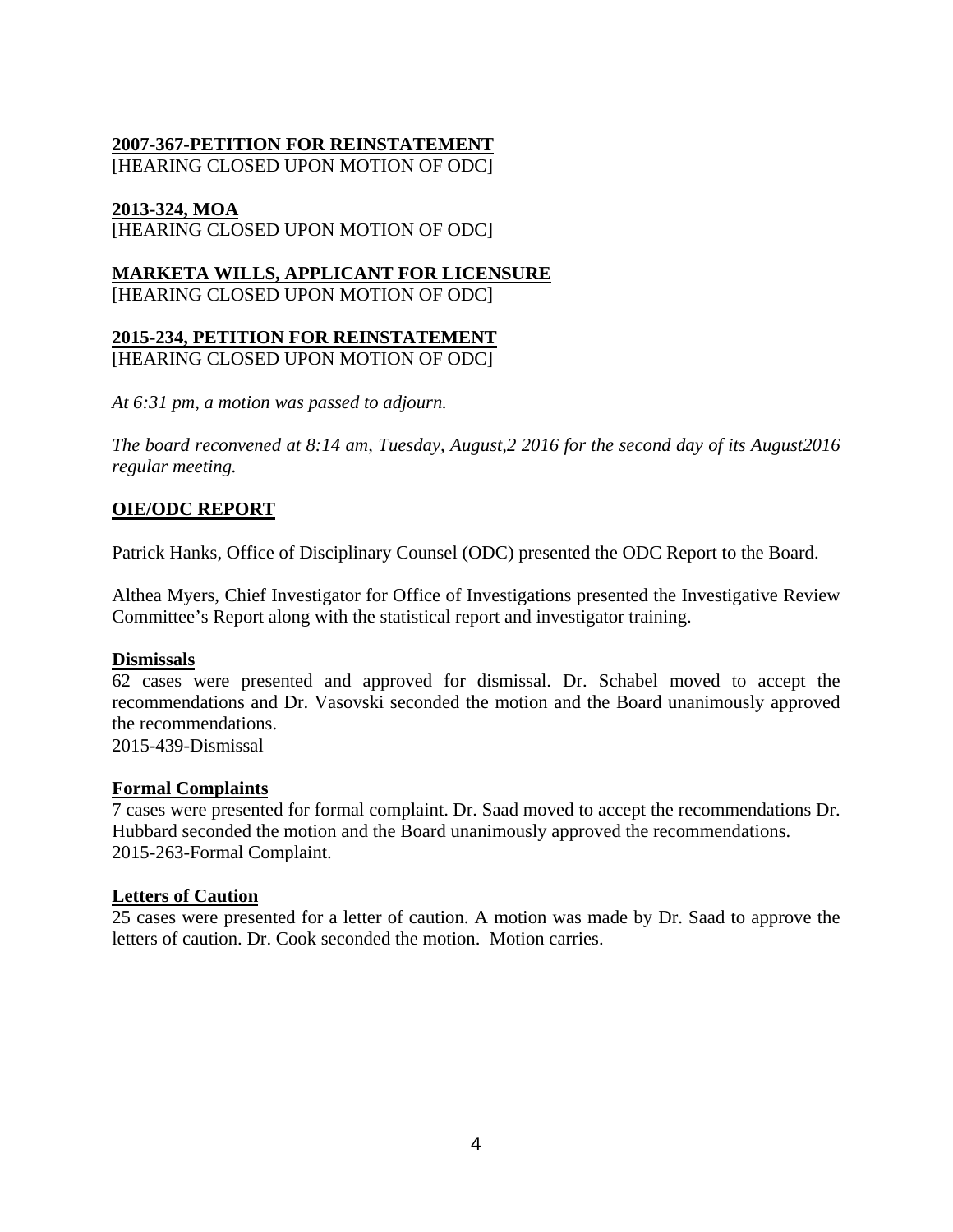# **2007-367-PETITION FOR REINSTATEMENT**

[HEARING CLOSED UPON MOTION OF ODC]

#### **2013-324, MOA**

[HEARING CLOSED UPON MOTION OF ODC]

# **MARKETA WILLS, APPLICANT FOR LICENSURE**

[HEARING CLOSED UPON MOTION OF ODC]

#### **2015-234, PETITION FOR REINSTATEMENT**  [HEARING CLOSED UPON MOTION OF ODC]

*At 6:31 pm, a motion was passed to adjourn.* 

*The board reconvened at 8:14 am, Tuesday, August,2 2016 for the second day of its August2016 regular meeting.* 

#### **OIE/ODC REPORT**

Patrick Hanks, Office of Disciplinary Counsel (ODC) presented the ODC Report to the Board.

Althea Myers, Chief Investigator for Office of Investigations presented the Investigative Review Committee's Report along with the statistical report and investigator training.

#### **Dismissals**

62 cases were presented and approved for dismissal. Dr. Schabel moved to accept the recommendations and Dr. Vasovski seconded the motion and the Board unanimously approved the recommendations.

2015-439-Dismissal

#### **Formal Complaints**

7 cases were presented for formal complaint. Dr. Saad moved to accept the recommendations Dr. Hubbard seconded the motion and the Board unanimously approved the recommendations. 2015-263-Formal Complaint.

#### **Letters of Caution**

25 cases were presented for a letter of caution. A motion was made by Dr. Saad to approve the letters of caution. Dr. Cook seconded the motion. Motion carries.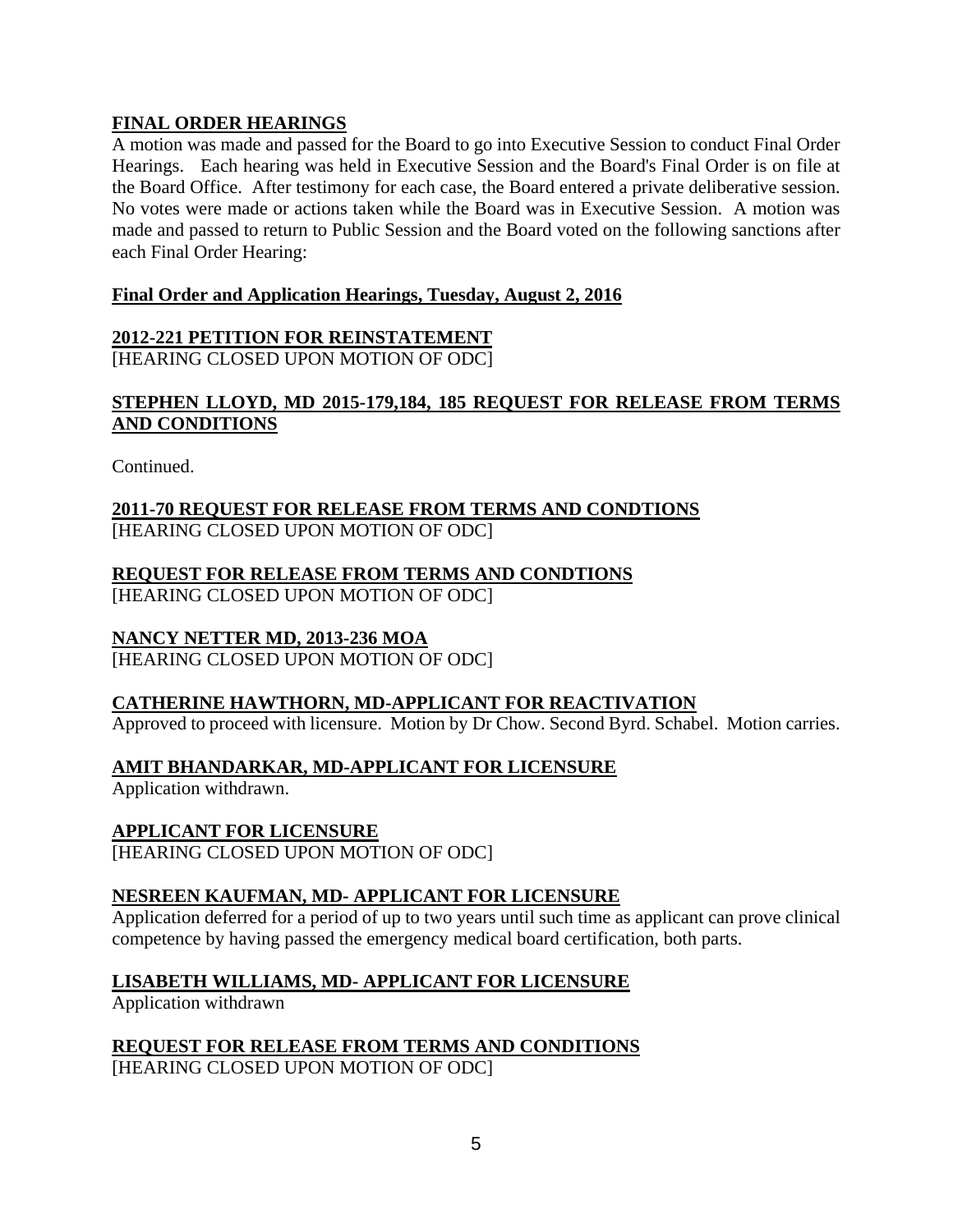# **FINAL ORDER HEARINGS**

A motion was made and passed for the Board to go into Executive Session to conduct Final Order Hearings. Each hearing was held in Executive Session and the Board's Final Order is on file at the Board Office. After testimony for each case, the Board entered a private deliberative session. No votes were made or actions taken while the Board was in Executive Session. A motion was made and passed to return to Public Session and the Board voted on the following sanctions after each Final Order Hearing:

#### **Final Order and Application Hearings, Tuesday, August 2, 2016**

# **2012-221 PETITION FOR REINSTATEMENT**

[HEARING CLOSED UPON MOTION OF ODC]

# **STEPHEN LLOYD, MD 2015-179,184, 185 REQUEST FOR RELEASE FROM TERMS AND CONDITIONS**

Continued.

#### **2011-70 REQUEST FOR RELEASE FROM TERMS AND CONDTIONS**  [HEARING CLOSED UPON MOTION OF ODC]

#### **REQUEST FOR RELEASE FROM TERMS AND CONDTIONS**  [HEARING CLOSED UPON MOTION OF ODC]

# **NANCY NETTER MD, 2013-236 MOA**

[HEARING CLOSED UPON MOTION OF ODC]

# **CATHERINE HAWTHORN, MD-APPLICANT FOR REACTIVATION**

Approved to proceed with licensure. Motion by Dr Chow. Second Byrd. Schabel. Motion carries.

# **AMIT BHANDARKAR, MD-APPLICANT FOR LICENSURE**

Application withdrawn.

# **APPLICANT FOR LICENSURE**

[HEARING CLOSED UPON MOTION OF ODC]

# **NESREEN KAUFMAN, MD- APPLICANT FOR LICENSURE**

Application deferred for a period of up to two years until such time as applicant can prove clinical competence by having passed the emergency medical board certification, both parts.

# **LISABETH WILLIAMS, MD- APPLICANT FOR LICENSURE**

Application withdrawn

# **REQUEST FOR RELEASE FROM TERMS AND CONDITIONS**

[HEARING CLOSED UPON MOTION OF ODC]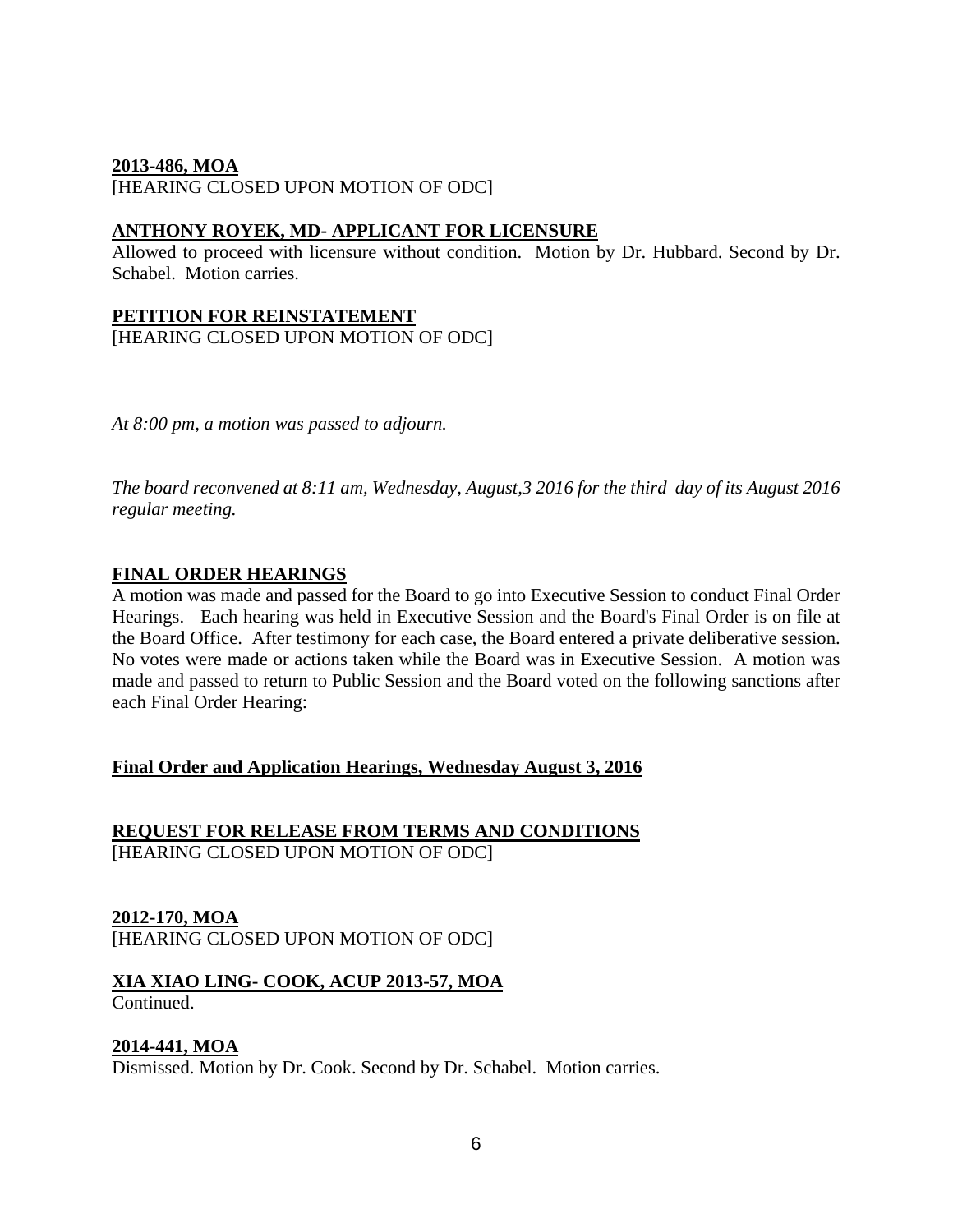#### **2013-486, MOA**

[HEARING CLOSED UPON MOTION OF ODC]

#### **ANTHONY ROYEK, MD- APPLICANT FOR LICENSURE**

Allowed to proceed with licensure without condition. Motion by Dr. Hubbard. Second by Dr. Schabel. Motion carries.

#### **PETITION FOR REINSTATEMENT**

[HEARING CLOSED UPON MOTION OF ODC]

*At 8:00 pm, a motion was passed to adjourn.* 

*The board reconvened at 8:11 am, Wednesday, August,3 2016 for the third day of its August 2016 regular meeting.* 

#### **FINAL ORDER HEARINGS**

A motion was made and passed for the Board to go into Executive Session to conduct Final Order Hearings. Each hearing was held in Executive Session and the Board's Final Order is on file at the Board Office. After testimony for each case, the Board entered a private deliberative session. No votes were made or actions taken while the Board was in Executive Session. A motion was made and passed to return to Public Session and the Board voted on the following sanctions after each Final Order Hearing:

#### **Final Order and Application Hearings, Wednesday August 3, 2016**

#### **REQUEST FOR RELEASE FROM TERMS AND CONDITIONS**  [HEARING CLOSED UPON MOTION OF ODC]

# **2012-170, MOA**

[HEARING CLOSED UPON MOTION OF ODC]

# **XIA XIAO LING- COOK, ACUP 2013-57, MOA**

#### Continued.

#### **2014-441, MOA**

Dismissed. Motion by Dr. Cook. Second by Dr. Schabel. Motion carries.